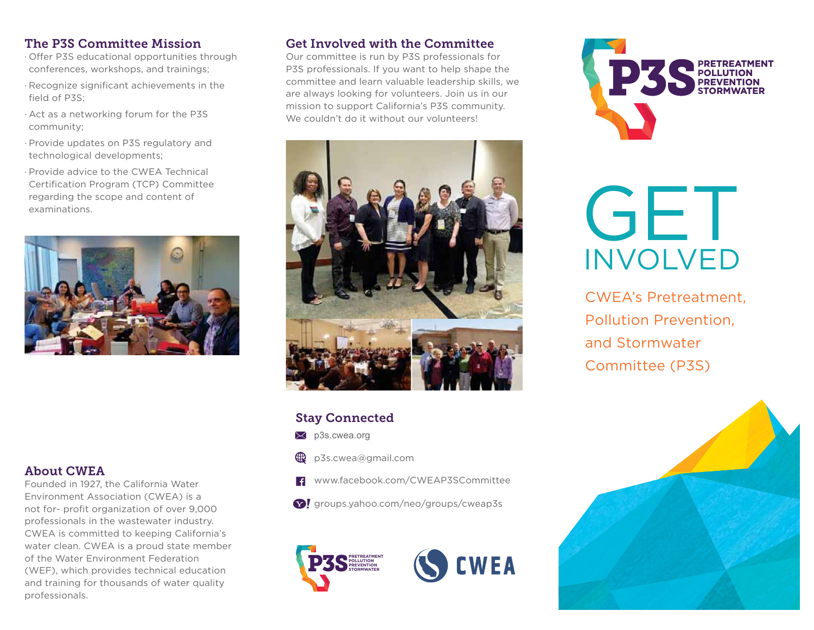#### The P3S Committee Mission

- · Offer P3S educational opportunities through conferences, workshops, and trainings;
- · Recognize significant achievements in the field of P3S;
- · Act as a networking forum for the P3S community;
- · Provide updates on P3S regulatory and technological developments;
- · Provide advice to the CWEA TechnicalCertification Program (TCP) Committee regarding the scope and content of examinations.



#### About CWEA

Founded in 1927, the California Water Environment Association (CWEA) is a not for- profit organization of over 9,000 professionals in the wastewater industry. CWEA is committed to keeping California's water clean. CWEA is a proud state member of the Water Environment Federation (WEF), which provides technical education and training for thousands of water quality professionals.

#### Get Involved with the Committee

Our committee is run by P3S professionals for P3S professionals. If you want to help shape the committee and learn valuable leadership skills, we are always looking for volunteers. Join us in our mission to support California's P3S community. We couldn't do it without our volunteers!



#### Stay Connected

- $\boxtimes$  p3s.cwea.org
- p3s.cwea@gmail.com
- $\left| \cdot \right|$ www.facebook.com/CWEAP3SCommittee
- $\Omega$  groups.yahoo.com/neo/groups/cweap3s





# GET INVOLVED

CWEA's Pretreatment, Pollution Prevention, and Stormwater Committee (P3S)